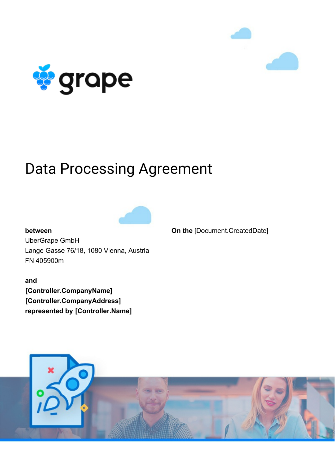



# Data Processing Agreement



**between** UberGrape GmbH Lange Gasse 76/18, 1080 Vienna, Austria FN 405900m

**and [Controller.CompanyName] [Controller.CompanyAddress] represented by [Controller.Name]** **On the** [Document.CreatedDate]

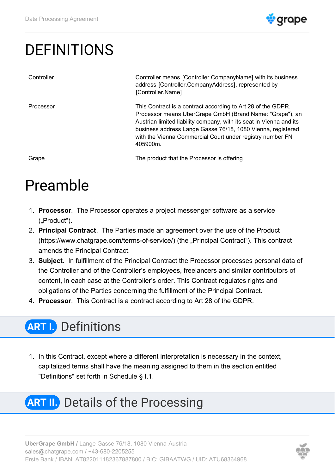

# DEFINITIONS

| Controller | Controller means [Controller.CompanyName] with its business<br>address [Controller.CompanyAddress], represented by<br>[Controller.Name]                                                                                                                                                                                                 |
|------------|-----------------------------------------------------------------------------------------------------------------------------------------------------------------------------------------------------------------------------------------------------------------------------------------------------------------------------------------|
| Processor  | This Contract is a contract according to Art 28 of the GDPR.<br>Processor means UberGrape GmbH (Brand Name: "Grape"), an<br>Austrian limited liability company, with its seat in Vienna and its<br>business address Lange Gasse 76/18, 1080 Vienna, registered<br>with the Vienna Commercial Court under registry number FN<br>405900m. |
| Grape      | The product that the Processor is offering                                                                                                                                                                                                                                                                                              |

# Preamble

- 1. **Processor**. The Processor operates a project messenger software as a service ("Product").
- 2. **Principal Contract**. The Parties made an agreement over the use of the Product (https://www.chatgrape.com/terms-of-service/) (the "Principal Contract"). This contract amends the Principal Contract.
- 3. **Subject**. In fulfillment of the Principal Contract the Processor processes personal data of the Controller and of the Controller's employees, freelancers and similar contributors of content, in each case at the Controller's order. This Contract regulates rights and obligations of the Parties concerning the fulfillment of the Principal Contract.
- 4. **Processor**. This Contract is a contract according to Art 28 of the GDPR.

## **ART I.** Definitions

1. In this Contract, except where a different interpretation is necessary in the context, capitalized terms shall have the meaning assigned to them in the section entitled "Definitions" set forth in Schedule § I.1.

## **ART II.** Details of the Processing

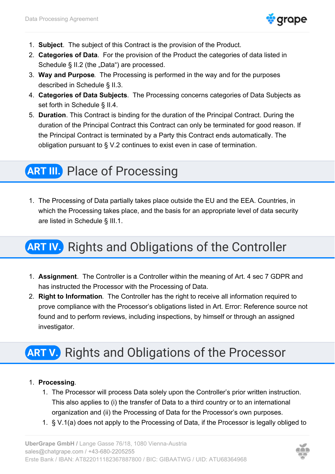

- 1. **Subject**. The subject of this Contract is the provision of the Product.
- 2. **Categories of Data**. For the provision of the Product the categories of data listed in Schedule § II.2 (the "Data") are processed.
- 3. **Way and Purpose**. The Processing is performed in the way and for the purposes described in Schedule § II.3.
- 4. **Categories of Data Subjects**. The Processing concerns categories of Data Subjects as set forth in Schedule § II.4.
- 5. **Duration**. This Contract is binding for the duration of the Principal Contract. During the duration of the Principal Contract this Contract can only be terminated for good reason. If the Principal Contract is terminated by a Party this Contract ends automatically. The obligation pursuant to § V.2 continues to exist even in case of termination.

## **ART III.** Place of Processing

1. The Processing of Data partially takes place outside the EU and the EEA. Countries, in which the Processing takes place, and the basis for an appropriate level of data security are listed in Schedule § III.1.

# **ART IV.** Rights and Obligations of the Controller

- 1. **Assignment**. The Controller is a Controller within the meaning of Art. 4 sec 7 GDPR and has instructed the Processor with the Processing of Data.
- 2. **Right to Information**. The Controller has the right to receive all information required to prove compliance with the Processor's obligations listed in Art. Error: Reference source not found and to perform reviews, including inspections, by himself or through an assigned investigator.

# **ART V.** Rights and Obligations of the Processor

- 1. **Processing**.
	- 1. The Processor will process Data solely upon the Controller's prior written instruction. This also applies to (i) the transfer of Data to a third country or to an international organization and (ii) the Processing of Data for the Processor's own purposes.
	- 1. § V.1(a) does not apply to the Processing of Data, if the Processor is legally obliged to

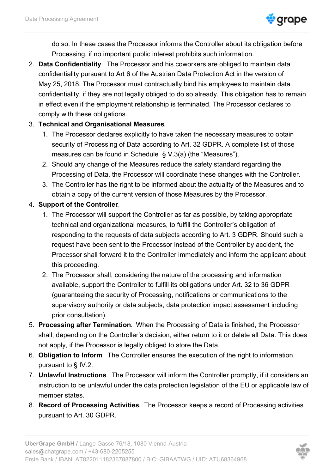

do so. In these cases the Processor informs the Controller about its obligation before Processing, if no important public interest prohibits such information.

2. **Data Confidentiality**. The Processor and his coworkers are obliged to maintain data confidentiality pursuant to Art 6 of the Austrian Data Protection Act in the version of May 25, 2018. The Processor must contractually bind his employees to maintain data confidentiality, if they are not legally obliged to do so already. This obligation has to remain in effect even if the employment relationship is terminated. The Processor declares to comply with these obligations.

#### 3. **Technical and Organisational Measures**.

- 1. The Processor declares explicitly to have taken the necessary measures to obtain security of Processing of Data according to Art. 32 GDPR. A complete list of those measures can be found in Schedule § V.3(a) (the "Measures").
- 2. Should any change of the Measures reduce the safety standard regarding the Processing of Data, the Processor will coordinate these changes with the Controller.
- 3. The Controller has the right to be informed about the actuality of the Measures and to obtain a copy of the current version of those Measures by the Processor.

#### 4. **Support of the Controller**.

- 1. The Processor will support the Controller as far as possible, by taking appropriate technical and organizational measures, to fulfill the Controller's obligation of responding to the requests of data subjects according to Art. 3 GDPR. Should such a request have been sent to the Processor instead of the Controller by accident, the Processor shall forward it to the Controller immediately and inform the applicant about this proceeding.
- 2. The Processor shall, considering the nature of the processing and information available, support the Controller to fulfill its obligations under Art. 32 to 36 GDPR (guaranteeing the security of Processing, notifications or communications to the supervisory authority or data subjects, data protection impact assessment including prior consultation).
- 5. **Processing after Termination**. When the Processing of Data is finished, the Processor shall, depending on the Controller's decision, either return to it or delete all Data. This does not apply, if the Processor is legally obliged to store the Data.
- 6. **Obligation to Inform**. The Controller ensures the execution of the right to information pursuant to § IV.2.
- 7. **Unlawful Instructions**. The Processor will inform the Controller promptly, if it considers an instruction to be unlawful under the data protection legislation of the EU or applicable law of member states.
- 8. **Record of Processing Activities**. The Processor keeps a record of Processing activities pursuant to Art. 30 GDPR.

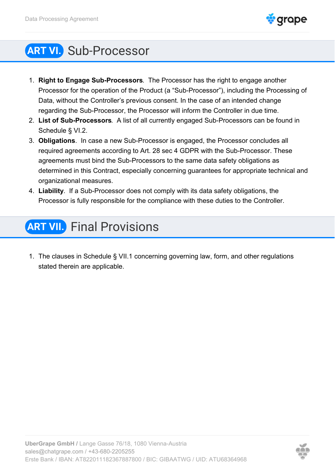

# **ART VI.** Sub-Processor

- 1. **Right to Engage Sub-Processors**. The Processor has the right to engage another Processor for the operation of the Product (a "Sub-Processor"), including the Processing of Data, without the Controller's previous consent. In the case of an intended change regarding the Sub-Processor, the Processor will inform the Controller in due time.
- 2. **List of Sub-Processors**. A list of all currently engaged Sub-Processors can be found in Schedule § VI.2.
- 3. **Obligations**. In case a new Sub-Processor is engaged, the Processor concludes all required agreements according to Art. 28 sec 4 GDPR with the Sub-Processor. These agreements must bind the Sub-Processors to the same data safety obligations as determined in this Contract, especially concerning guarantees for appropriate technical and organizational measures.
- 4. **Liability**. If a Sub-Processor does not comply with its data safety obligations, the Processor is fully responsible for the compliance with these duties to the Controller.

## **ART VII.** Final Provisions

1. The clauses in Schedule § VII.1 concerning governing law, form, and other regulations stated therein are applicable.

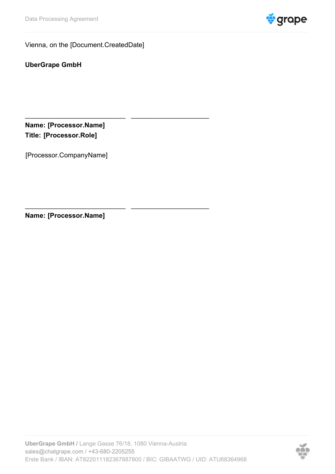

Vienna, on the [Document.CreatedDate]

\_\_\_\_\_\_\_\_\_\_\_\_\_\_\_\_\_\_\_\_\_\_\_\_\_\_\_ \_\_\_\_\_\_\_\_\_\_\_\_\_\_\_\_\_\_\_\_\_

\_\_\_\_\_\_\_\_\_\_\_\_\_\_\_\_\_\_\_\_\_\_\_\_\_\_\_ \_\_\_\_\_\_\_\_\_\_\_\_\_\_\_\_\_\_\_\_\_

**UberGrape GmbH**

**Name: [Processor.Name] Title: [Processor.Role]**

[Processor.CompanyName]

**Name: [Processor.Name]**

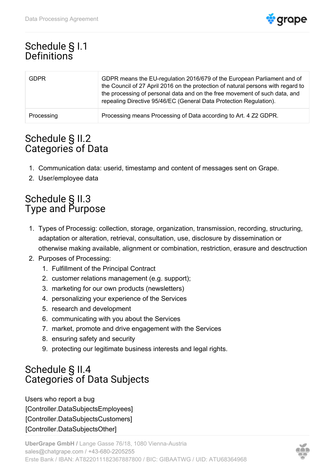

## Schedule § I.1 **Definitions**

| <b>GDPR</b> | GDPR means the EU-regulation 2016/679 of the European Parliament and of<br>the Council of 27 April 2016 on the protection of natural persons with regard to<br>the processing of personal data and on the free movement of such data, and<br>repealing Directive 95/46/EC (General Data Protection Regulation). |
|-------------|-----------------------------------------------------------------------------------------------------------------------------------------------------------------------------------------------------------------------------------------------------------------------------------------------------------------|
| Processing  | Processing means Processing of Data according to Art. 4 Z2 GDPR.                                                                                                                                                                                                                                                |

### Schedule § II.2 Categories of Data

- 1. Communication data: userid, timestamp and content of messages sent on Grape.
- 2. User/employee data

## Schedule § II.3 Type and Purpose

- 1. Types of Processig: collection, storage, organization, transmission, recording, structuring, adaptation or alteration, retrieval, consultation, use, disclosure by dissemination or otherwise making available, alignment or combination, restriction, erasure and desctruction
- 2. Purposes of Processing:
	- 1. Fulfillment of the Principal Contract
	- 2. customer relations management (e.g. support);
	- 3. marketing for our own products (newsletters)
	- 4. personalizing your experience of the Services
	- 5. research and development
	- 6. communicating with you about the Services
	- 7. market, promote and drive engagement with the Services
	- 8. ensuring safety and security
	- 9. protecting our legitimate business interests and legal rights.

### Schedule § II.4 Categories of Data Subjects

Users who report a bug [Controller.DataSubjectsEmployees] [Controller.DataSubjectsCustomers] [Controller.DataSubjectsOther]

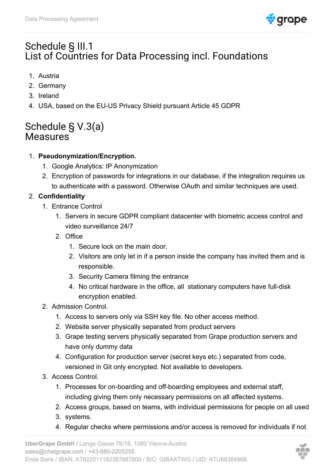

## Schedule § III.1 List of Countries for Data Processing incl. Foundations

- 1. Austria
- 2. Germany
- 3. Ireland
- 4. USA, based on the EU-US Privacy Shield pursuant Article 45 GDPR

## Schedule § V.3(a) Measures

#### 1. **Pseudonymization/Encryption.**

- 1. Google Analytics: IP Anonymization
- 2. Encryption of passwords for integrations in our database, if the integration requires us to authenticate with a password. Otherwise OAuth and similar techniques are used.

#### 2. **Confidentiality**

- 1. Entrance Control
	- 1. Servers in secure GDPR compliant datacenter with biometric access control and video surveillance 24/7
	- 2. Office
		- 1. Secure lock on the main door.
		- 2. Visitors are only let in if a person inside the company has invited them and is responsible.
		- 3. Security Camera filming the entrance
		- 4. No critical hardware in the office, all stationary computers have full-disk encryption enabled.
- 2. Admission Control.
	- 1. Access to servers only via SSH key file. No other access method.
	- 2. Website server physically separated from product servers
	- 3. Grape testing servers physically separated from Grape production servers and have only dummy data
	- 4. Configuration for production server (secret keys etc.) separated from code, versioned in Git only encrypted. Not available to developers.
- 3. Access Control.
	- 1. Processes for on-boarding and off-boarding employees and external staff, including giving them only necessary permissions on all affected systems.
	- 2. Access groups, based on teams, with individual permissions for people on all used
	- 3. systems.
	- 4. Regular checks where permissions and/or access is removed for individuals if not

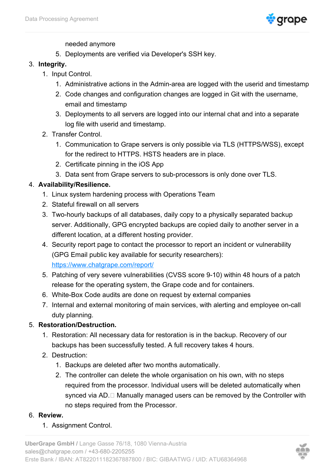

needed anymore

5. Deployments are verified via Developer's SSH key.

#### 3. **Integrity.**

- 1. Input Control.
	- 1. Administrative actions in the Admin-area are logged with the userid and timestamp
	- 2. Code changes and configuration changes are logged in Git with the username, email and timestamp
	- 3. Deployments to all servers are logged into our internal chat and into a separate log file with userid and timestamp.
- 2. Transfer Control.
	- 1. Communication to Grape servers is only possible via TLS (HTTPS/WSS), except for the redirect to HTTPS. HSTS headers are in place.
	- 2. Certificate pinning in the iOS App
	- 3. Data sent from Grape servers to sub-processors is only done over TLS.

#### 4. **Availability/Resilience.**

- 1. Linux system hardening process with Operations Team
- 2. Stateful firewall on all servers
- 3. Two-hourly backups of all databases, daily copy to a physically separated backup server. Additionally, GPG encrypted backups are copied daily to another server in a different location, at a different hosting provider.
- 4. Security report page to contact the processor to report an incident or vulnerability (GPG Email public key available for security researchers): [https://www.chatgrape.com/report/](https://chatgrape.com/report/)
- 5. Patching of very severe vulnerabilities (CVSS score 9-10) within 48 hours of a patch release for the operating system, the Grape code and for containers.
- 6. White-Box Code audits are done on request by external companies
- 7. Internal and external monitoring of main services, with alerting and employee on-call duty planning.

#### 5. **Restoration/Destruction.**

- 1. Restoration: All necessary data for restoration is in the backup. Recovery of our backups has been successfully tested. A full recovery takes 4 hours.
- 2. Destruction:
	- 1. Backups are deleted after two months automatically.
	- 2. The controller can delete the whole organisation on his own, with no steps required from the processor. Individual users will be deleted automatically when synced via  $AD \Box$  Manually managed users can be removed by the Controller with no steps required from the Processor.

#### 6. **Review.**

1. Assignment Control.

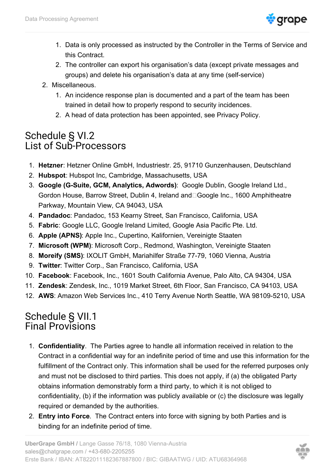

- 1. Data is only processed as instructed by the Controller in the Terms of Service and this Contract.
- 2. The controller can export his organisation's data (except private messages and groups) and delete his organisation's data at any time (self-service)
- 2. Miscellaneous.
	- 1. An incidence response plan is documented and a part of the team has been trained in detail how to properly respond to security incidences.
	- 2. A head of data protection has been appointed, see Privacy Policy.

### Schedule § VI.2 List of Sub-Processors

- 1. **Hetzner**: Hetzner Online GmbH, Industriestr. 25, 91710 Gunzenhausen, Deutschland
- 2. **Hubspot**: Hubspot Inc, Cambridge, Massachusetts, USA
- 3. **Google (G-Suite, GCM, Analytics, Adwords)**: Google Dublin, Google Ireland Ltd., Gordon House, Barrow Street, Dublin 4, Ireland and□Google Inc., 1600 Amphitheatre Parkway, Mountain View, CA 94043, USA
- 4. **Pandadoc**: Pandadoc, 153 Kearny Street, San Francisco, California, USA
- 5. **Fabric**: Google LLC, Google Ireland Limited, Google Asia Pacific Pte. Ltd.
- 6. **Apple (APNS)**: Apple Inc., Cupertino, Kalifornien, Vereinigte Staaten
- 7. **Microsoft (WPM)**: Microsoft Corp., Redmond, Washington, Vereinigte Staaten
- 8. **Moreify (SMS)**: IXOLIT GmbH, Mariahilfer Straße 77-79, 1060 Vienna, Austria
- 9. **Twitter**: Twitter Corp., San Francisco, California, USA
- 10. **Facebook**: Facebook, Inc., 1601 South California Avenue, Palo Alto, CA 94304, USA
- 11. **Zendesk**: Zendesk, Inc., 1019 Market Street, 6th Floor, San Francisco, CA 94103, USA
- 12. **AWS**: Amazon Web Services Inc., 410 Terry Avenue North Seattle, WA 98109-5210, USA

### Schedule § VII.1 Final Provisions

- 1. **Confidentiality**. The Parties agree to handle all information received in relation to the Contract in a confidential way for an indefinite period of time and use this information for the fulfillment of the Contract only. This information shall be used for the referred purposes only and must not be disclosed to third parties. This does not apply, if (a) the obligated Party obtains information demonstrably form a third party, to which it is not obliged to confidentiality, (b) if the information was publicly available or (c) the disclosure was legally required or demanded by the authorities.
- 2. **Entry into Force**. The Contract enters into force with signing by both Parties and is binding for an indefinite period of time.